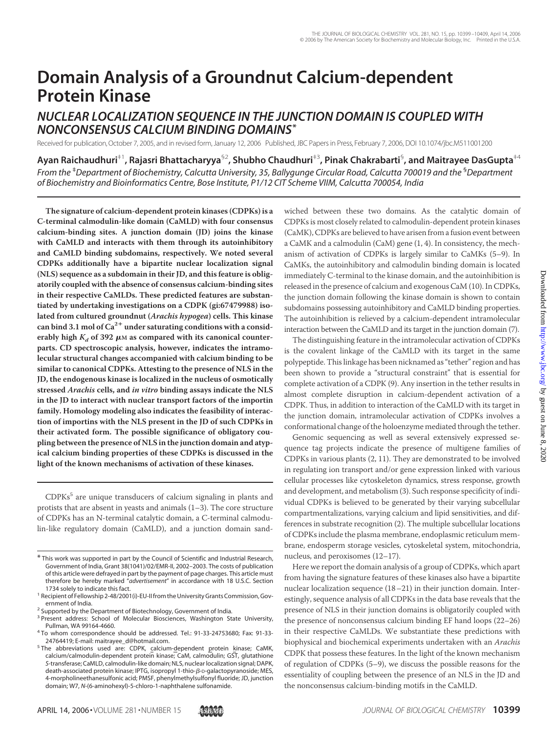# **Domain Analysis of a Groundnut Calcium-dependent Protein Kinase**

## *NUCLEAR LOCALIZATION SEQUENCE IN THE JUNCTION DOMAIN IS COUPLED WITH NONCONSENSUS CALCIUM BINDING DOMAINS***\***

Received for publication,October 7, 2005, and in revised form, January 12, 2006 Published, JBC Papers in Press, February 7, 2006, DOI 10.1074/jbc.M511001200

**Ayan Raichaudhuri**‡1**, Rajasri Bhattacharyya**§2**, Shubho Chaudhuri**‡3**, Pinak Chakrabarti**§ **, and Maitrayee DasGupta**‡4 *From the* ‡ *Department of Biochemistry, Calcutta University, 35, Ballygunge Circular Road, Calcutta 700019 and the* § *Department of Biochemistry and Bioinformatics Centre, Bose Institute, P1/12 CIT Scheme VIIM, Calcutta 700054, India*

**The signature of calcium-dependent protein kinases (CDPKs) is a C-terminal calmodulin-like domain (CaMLD) with four consensus calcium-binding sites. A junction domain (JD) joins the kinase with CaMLD and interacts with them through its autoinhibitory and CaMLD binding subdomains, respectively. We noted several CDPKs additionally have a bipartite nuclear localization signal (NLS) sequence as a subdomain in their JD, and this feature is obligatorily coupled with the absence of consensus calcium-binding sites in their respective CaMLDs. These predicted features are substantiated by undertaking investigations on a CDPK (gi:67479988) isolated from cultured groundnut (***Arachis hypogea***) cells. This kinase can bind 3.1 mol of Ca2 under saturating conditions with a consid**erably high  $K_d$  of 392  $\mu$ M as compared with its canonical counter**parts. CD spectroscopic analysis, however, indicates the intramolecular structural changes accompanied with calcium binding to be similar to canonical CDPKs. Attesting to the presence of NLS in the JD, the endogenous kinase is localized in the nucleus of osmotically stressed** *Arachis* **cells, and** *in vitro* **binding assays indicate the NLS in the JD to interact with nuclear transport factors of the importin family. Homology modeling also indicates the feasibility of interaction of importins with the NLS present in the JD of such CDPKs in their activated form. The possible significance of obligatory coupling between the presence of NLS in the junction domain and atypical calcium binding properties of these CDPKs is discussed in the light of the known mechanisms of activation of these kinases.**

 $CDPKs<sup>5</sup>$  are unique transducers of calcium signaling in plants and protists that are absent in yeasts and animals (1–3). The core structure of CDPKs has an N-terminal catalytic domain, a C-terminal calmodulin-like regulatory domain (CaMLD), and a junction domain sand-

wiched between these two domains. As the catalytic domain of CDPKs is most closely related to calmodulin-dependent protein kinases (CaMK), CDPKs are believed to have arisen from a fusion event between a CaMK and a calmodulin (CaM) gene (1, 4). In consistency, the mechanism of activation of CDPKs is largely similar to CaMKs (5–9). In CaMKs, the autoinhibitory and calmodulin binding domain is located immediately C-terminal to the kinase domain, and the autoinhibition is released in the presence of calcium and exogenous CaM (10). In CDPKs, the junction domain following the kinase domain is shown to contain subdomains possessing autoinhibitory and CaMLD binding properties. The autoinhibition is relieved by a calcium-dependent intramolecular interaction between the CaMLD and its target in the junction domain (7).

The distinguishing feature in the intramolecular activation of CDPKs is the covalent linkage of the CaMLD with its target in the same polypeptide. This linkage has been nicknamed as "tether" region and has been shown to provide a "structural constraint" that is essential for complete activation of a CDPK (9). Any insertion in the tether results in almost complete disruption in calcium-dependent activation of a CDPK. Thus, in addition to interaction of the CaMLD with its target in the junction domain, intramolecular activation of CDPKs involves a conformational change of the holoenzyme mediated through the tether.

Genomic sequencing as well as several extensively expressed sequence tag projects indicate the presence of multigene families of CDPKs in various plants (2, 11). They are demonstrated to be involved in regulating ion transport and/or gene expression linked with various cellular processes like cytoskeleton dynamics, stress response, growth and development, and metabolism (3). Such response specificity of individual CDPKs is believed to be generated by their varying subcellular compartmentalizations, varying calcium and lipid sensitivities, and differences in substrate recognition (2). The multiple subcellular locations of CDPKs include the plasma membrane, endoplasmic reticulum membrane, endosperm storage vesicles, cytoskeletal system, mitochondria, nucleus, and peroxisomes (12–17).

Here we report the domain analysis of a group of CDPKs, which apart from having the signature features of these kinases also have a bipartite nuclear localization sequence (18–21) in their junction domain. Interestingly, sequence analysis of all CDPKs in the data base reveals that the presence of NLS in their junction domains is obligatorily coupled with the presence of nonconsensus calcium binding EF hand loops (22–26) in their respective CaMLDs. We substantiate these predictions with biophysical and biochemical experiments undertaken with an *Arachis* CDPK that possess these features. In the light of the known mechanism of regulation of CDPKs (5–9), we discuss the possible reasons for the essentiality of coupling between the presence of an NLS in the JD and the nonconsensus calcium-binding motifs in the CaMLD.

<sup>\*</sup> This work was supported in part by the Council of Scientific and Industrial Research, Government of India, Grant 38(1041)/02/EMR-II, 2002–2003. The costs of publication of this article were defrayed in part by the payment of page charges. This article must therefore be hereby marked "*advertisement*" in accordance with 18 U.S.C. Section

<sup>&</sup>lt;sup>1</sup> Recipient of Fellowship 2-48/2001(i)-EU-II from the University Grants Commission, Government of India.<br><sup>2</sup> Supported by the Department of Biotechnology, Government of India.

<sup>&</sup>lt;sup>3</sup> Present address: School of Molecular Biosciences, Washington State University,

Pullman, WA 99164-4660. <sup>4</sup> To whom correspondence should be addressed. Tel.: 91-33-24753680; Fax: 91-33-

<sup>24764419;</sup> E-mail: maitrayee\_d@hotmail.com.<br><sup>5</sup> The abbreviations used are: CDPK, calcium-dependent protein kinase; CaMK, calcium/calmodulin-dependent protein kinase; CaM, calmodulin; GST, glutathione *S*-transferase; CaMLD, calmodulin-like domain; NLS, nuclear localization signal; DAPK, death-associated protein kinase; IPTG, isopropyl 1-thio-ß-D-galactopyranoside; MES, 4-morpholineethanesulfonic acid; PMSF, phenylmethylsulfonyl fluoride; JD, junction domain; W7, *N*-(6-aminohexyl)-5-chloro-1-naphthalene sulfonamide.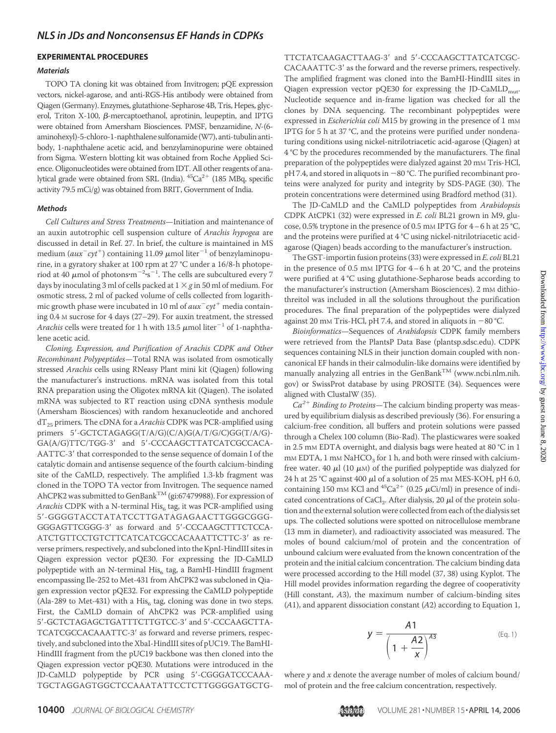#### **EXPERIMENTAL PROCEDURES**

#### *Materials*

TOPO TA cloning kit was obtained from Invitrogen; pQE expression vectors, nickel-agarose, and anti-RGS-His antibody were obtained from Qiagen (Germany). Enzymes, glutathione-Sepharose 4B, Tris, Hepes, glycerol, Triton X-100,  $\beta$ -mercaptoethanol, aprotinin, leupeptin, and IPTG were obtained from Amersham Biosciences. PMSF, benzamidine, *N*-(6 aminohexyl)-5-chloro-1-naphthalene sulfonamide (W7), anti-tubulin antibody, 1-naphthalene acetic acid, and benzylaminopurine were obtained from Sigma. Western blotting kit was obtained from Roche Applied Science. Oligonucleotides were obtained from IDT. All other reagents of analytical grade were obtained from SRL (India).  ${}^{45}Ca^{2+}$  (185 MBq, specific activity 79.5 mCi/g) was obtained from BRIT, Government of India.

#### *Methods*

*Cell Cultures and Stress Treatments*—Initiation and maintenance of an auxin autotrophic cell suspension culture of *Arachis hypogea* are discussed in detail in Ref. 27. In brief, the culture is maintained in MS medium ( $aux^-cyt^+$ ) containing 11.09  $\mu$ mol liter $^{-1}$  of benzylaminopurine, in a gyratory shaker at 100 rpm at 27 °C under a 16/8-h photoperiod at 40  $\mu$ mol of photons·m $^{-2}$ ·s $^{-1}$ . The cells are subcultured every 7 days by inoculating 3 ml of cells packed at  $1 \times g$  in 50 ml of medium. For osmotic stress, 2 ml of packed volume of cells collected from logarithmic growth phase were incubated in 10 ml of  $aux^-cyt^+$  media containing 0.4 M sucrose for 4 days (27–29). For auxin treatment, the stressed *Arachis* cells were treated for 1 h with 13.5  $\mu$ mol liter $^{-1}$  of 1-naphthalene acetic acid.

*Cloning, Expression, and Purification of Arachis CDPK and Other Recombinant Polypeptides*—Total RNA was isolated from osmotically stressed *Arachis* cells using RNeasy Plant mini kit (Qiagen) following the manufacturer's instructions. mRNA was isolated from this total RNA preparation using the Oligotex mRNA kit (Qiagen). The isolated mRNA was subjected to RT reaction using cDNA synthesis module (Amersham Biosciences) with random hexanucleotide and anchored dT25 primers. The cDNA for a *Arachis* CDPK was PCR-amplified using primers 5'-GCTCTAGAGG(T/A/G)(C/A)G(A/T/G/C)GG(T/A/G)-GA(A/G)TTC/TGG-3' and 5'-CCCAAGCTTATCATCGCCACA-AATTC-3' that corresponded to the sense sequence of domain I of the catalytic domain and antisense sequence of the fourth calcium-binding site of the CaMLD, respectively. The amplified 1.3-kb fragment was cloned in the TOPO TA vector from Invitrogen. The sequence named AhCPK2 was submitted to GenBank<sup>TM</sup> (gi:67479988). For expression of Arachis CDPK with a N-terminal His<sub>6</sub> tag, it was PCR-amplified using 5-GGGGTACCTATATCCTTGATAGAGAACTTGGGCGGG-GGGAGTTCGGG-3 as forward and 5-CCCAAGCTTTCTCCA-ATCTGTTCCTGTCTTCATCATCGCCACAAATTCTTC-3' as reverse primers, respectively, and subcloned into the KpnI-HindIII sites in Qiagen expression vector pQE30. For expressing the JD-CaMLD polypeptide with an N-terminal His $_6$  tag, a BamHI-HindIII fragment encompassing Ile-252 to Met-431 from AhCPK2 was subcloned in Qiagen expression vector pQE32. For expressing the CaMLD polypeptide (Ala-289 to Met-431) with a His<sub>6</sub> tag, cloning was done in two steps. First, the CaMLD domain of AhCPK2 was PCR-amplified using 5'-GCTCTAGAGCTGATTTCTTGTCC-3' and 5'-CCCAAGCTTA-TCATCGCCACAAATTC-3' as forward and reverse primers, respectively, and subcloned into the XbaI-HindIII sites of pUC19. The BamHI-HindIII fragment from the pUC19 backbone was then cloned into the Qiagen expression vector pQE30. Mutations were introduced in the JD-CaMLD polypeptide by PCR using 5'-CGGGATCCCAAA-TGCTAGGAGTGGCTCCAAATATTCCTCTTGGGGATGCTG-

TTCTATCAAGACTTAAG-3' and 5'-CCCAAGCTTATCATCGC-CACAAATTC-3' as the forward and the reverse primers, respectively. The amplified fragment was cloned into the BamHI-HindIII sites in Qiagen expression vector pQE30 for expressing the JD-CaMLD<sub>mut</sub>. Nucleotide sequence and in-frame ligation was checked for all the clones by DNA sequencing. The recombinant polypeptides were expressed in *Escherichia coli* M15 by growing in the presence of 1 mM IPTG for 5 h at 37 °C, and the proteins were purified under nondenaturing conditions using nickel-nitrilotriacetic acid-agarose (Qiagen) at 4 °C by the procedures recommended by the manufacturers. The final preparation of the polypeptides were dialyzed against 20 mM Tris-HCl, pH 7.4, and stored in aliquots in -80 °C. The purified recombinant proteins were analyzed for purity and integrity by SDS-PAGE (30). The protein concentrations were determined using Bradford method (31).

The JD-CaMLD and the CaMLD polypeptides from *Arabidopsis* CDPK AtCPK1 (32) were expressed in *E. coli* BL21 grown in M9, glucose, 0.5% tryptone in the presence of 0.5 mm IPTG for 4-6 h at 25 °C, and the proteins were purified at 4 °C using nickel-nitrilotriacetic acidagarose (Qiagen) beads according to the manufacturer's instruction.

The GST-importin fusion proteins (33) were expressed in *E. coli* BL21 in the presence of 0.5 mm IPTG for  $4-6$  h at 20 °C, and the proteins were purified at 4 °C using glutathione-Sepharose beads according to the manufacturer's instruction (Amersham Biosciences). 2 mM dithiothreitol was included in all the solutions throughout the purification procedures. The final preparation of the polypeptides were dialyzed against 20 mm Tris-HCl, pH 7.4, and stored in aliquots in  $-80$  °C.

*Bioinformatics*—Sequences of *Arabidopsis* CDPK family members were retrieved from the PlantsP Data Base (plantsp.sdsc.edu). CDPK sequences containing NLS in their junction domain coupled with noncanonical EF hands in their calmodulin-like domains were identified by manually analyzing all entries in the  $GenBank^{TM}$  (www.ncbi.nlm.nih. gov) or SwissProt database by using PROSITE (34). Sequences were aligned with ClustalW (35).

 $Ca^{2+}$  *Binding to Proteins*—The calcium binding property was measured by equilibrium dialysis as described previously (36). For ensuring a calcium-free condition, all buffers and protein solutions were passed through a Chelex 100 column (Bio-Rad). The plasticwares were soaked in 2.5 mM EDTA overnight, and dialysis bags were heated at 80 °C in 1  $m$ M EDTA, 1 mM NaHCO<sub>3</sub> for 1 h, and both were rinsed with calciumfree water. 40  $\mu$ l (10  $\mu$ M) of the purified polypeptide was dialyzed for 24 h at 25 °C against 400  $\mu$ l of a solution of 25 mm MES-KOH, pH 6.0, containing 150 mM KCl and  ${}^{45}Ca^{2+}$  (0.25  $\mu$ Ci/ml) in presence of indicated concentrations of CaCl<sub>2</sub>. After dialysis, 20  $\mu$ l of the protein solution and the external solution were collected from each of the dialysis set ups. The collected solutions were spotted on nitrocellulose membrane (13 mm in diameter), and radioactivity associated was measured. The moles of bound calcium/mol of protein and the concentration of unbound calcium were evaluated from the known concentration of the protein and the initial calcium concentration. The calcium binding data were processed according to the Hill model (37, 38) using Kyplot. The Hill model provides information regarding the degree of cooperativity (Hill constant, *A*3), the maximum number of calcium-binding sites (*A*1), and apparent dissociation constant (*A*2) according to Equation 1,

$$
y = \frac{A1}{\left(1 + \frac{A2}{x}\right)^{A3}}
$$
 (Eq. 1)

where *y* and *x* denote the average number of moles of calcium bound/ mol of protein and the free calcium concentration, respectively.

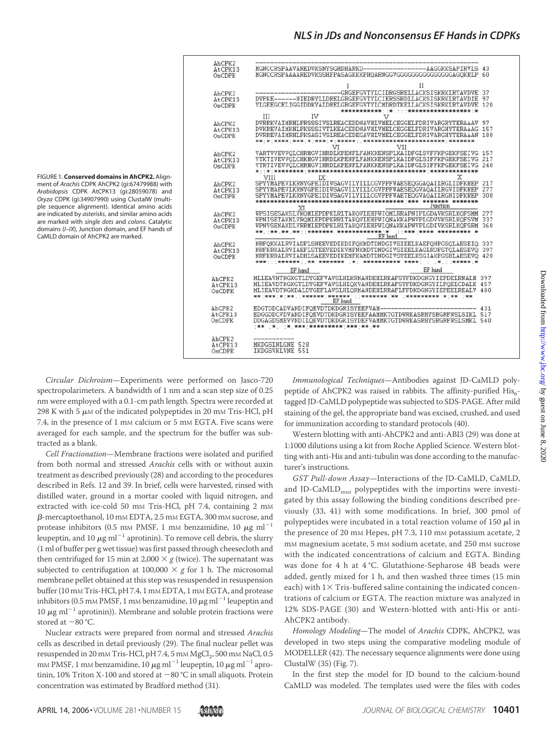

FIGURE 1. **Conserved domains in AhCPK2.** Alignment of *Arachis* CDPK AhCPK2 (gi:67479988) with *Arabidopsis* CDPK AtCPK13 (gi:28059078) and *Oryza* CDPK (gi:34907990) using ClustalW (multiple sequence alignment). Identical amino acids are indicated by *asterisks*, and similar amino acids are marked with *single dots* and *colons*. Catalytic domains (*I–IX*), Junction domain, and EF hands of CaMLD domain of AhCPK2 are marked.

*Circular Dichroism*—Experiments were performed on Jasco-720 spectropolarimeters. A bandwidth of 1 nm and a scan step size of 0.25 nm were employed with a 0.1-cm path length. Spectra were recorded at 298 K with 5  $\mu$ M of the indicated polypeptides in 20 mM Tris-HCl, pH 7.4, in the presence of 1 mM calcium or 5 mM EGTA. Five scans were averaged for each sample, and the spectrum for the buffer was subtracted as a blank.

*Cell Fractionation*—Membrane fractions were isolated and purified from both normal and stressed *Arachis* cells with or without auxin treatment as described previously (28) and according to the procedures described in Refs. 12 and 39. In brief, cells were harvested, rinsed with distilled water, ground in a mortar cooled with liquid nitrogen, and extracted with ice-cold 50 mm Tris-HCl, pH 7.4, containing 2 mm  $\beta$ -mercaptoethanol, 10 mm EDTA, 2.5 mm EGTA, 300 mm sucrose, and protease inhibitors (0.5 mm PMSF, 1 mm benzamidine, 10  $\mu$ g ml $^{-1}$ leupeptin, and 10  $\mu$ g ml $^{-1}$  aprotinin). To remove cell debris, the slurry (1 ml of buffer per g wet tissue) was first passed through cheesecloth and then centrifuged for 15 min at 2,000  $\times g$  (twice). The supernatant was subjected to centrifugation at 100,000  $\times$  g for 1 h. The microsomal membrane pellet obtained at this step was resuspended in resuspension buffer (10 mm Tris-HCl, pH 7.4, 1 mm EDTA, 1 mm EGTA, and protease inhibitors (0.5 mm PMSF, 1 mm benzamidine, 10  $\mu{\rm g}$  ml $^{-1}$  leupeptin and 10  $\mu$ g ml<sup>-1</sup> aprotinin)). Membrane and soluble protein fractions were stored at  $-80$  °C.

Nuclear extracts were prepared from normal and stressed *Arachis* cells as described in detail previously (29). The final nuclear pellet was resuspended in 20 mm Tris-HCl, pH 7.4, 5 mm MgCl<sub>2</sub>, 500 mm NaCl, 0.5 mM PMSF, 1 mM benzamidine, 10  $\mu {\rm g\,ml}^{-1}$  leupeptin, 10  $\mu {\rm g\,ml}^{-1}$  aprotinin, 10% Triton X-100 and stored at  $-80\text{ °C}$  in small aliquots. Protein concentration was estimated by Bradford method (31).

*Immunological Techniques*—Antibodies against JD-CaMLD polypeptide of AhCPK2 was raised in rabbits. The affinity-purified  $His<sub>6</sub>$ tagged JD-CaMLD polypeptide was subjected to SDS-PAGE. After mild staining of the gel, the appropriate band was excised, crushed, and used for immunization according to standard protocols (40).

Western blotting with anti-AhCPK2 and anti-ABI3 (29) was done at 1:1000 dilutions using a kit from Roche Applied Science. Western blotting with anti-His and anti-tubulin was done according to the manufacturer's instructions.

*GST Pull-down Assay*—Interactions of the JD-CaMLD, CaMLD, and JD-CaMLD $_{mut}$  polypeptides with the importins were investigated by this assay following the binding conditions described previously (33, 41) with some modifications. In brief, 300 pmol of polypeptides were incubated in a total reaction volume of 150  $\mu$ l in the presence of 20 mm Hepes, pH 7.3, 110 mm potassium acetate, 2 mM magnesium acetate, 5 mM sodium acetate, and 250 mM sucrose with the indicated concentrations of calcium and EGTA. Binding was done for 4 h at 4 °C. Glutathione-Sepharose 4B beads were added, gently mixed for 1 h, and then washed three times (15 min each) with  $1\times$  Tris-buffered saline containing the indicated concentrations of calcium or EGTA. The reaction mixture was analyzed in 12% SDS-PAGE (30) and Western-blotted with anti-His or anti-AhCPK2 antibody.

*Homology Modeling*—The model of *Arachis* CDPK, AhCPK2, was developed in two steps using the comparative modeling module of MODELLER (42). The necessary sequence alignments were done using ClustalW (35) (Fig. 7).

In the first step the model for JD bound to the calcium-bound CaMLD was modeled. The templates used were the files with codes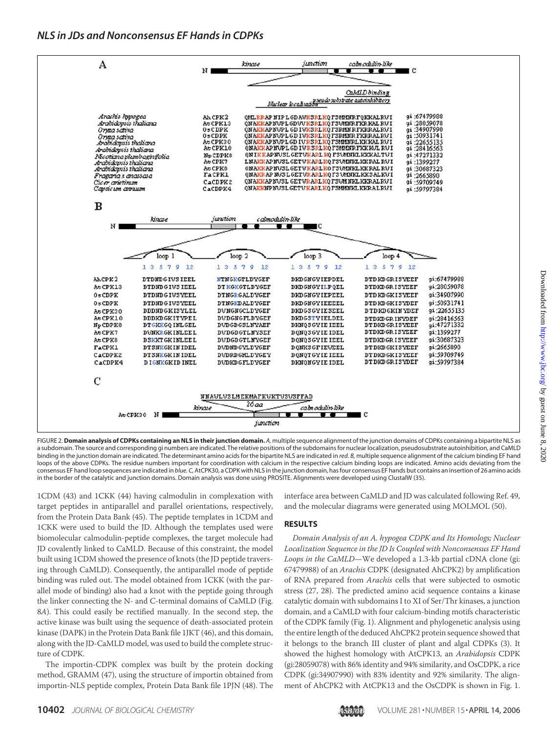

FIGURE 2.**Domain analysis of CDPKs containing an NLS in their junction domain.** *A,* multiple sequence alignment of the junction domains of CDPKs containing a bipartite NLS as a subdomain. The source and corresponding gi numbers are indicated. The relative positions of the subdomains for nuclear localization, pseudosubstrate autoinhibition, and CaMLD binding in the junction domain are indicated. The determinant amino acids for the bipartite NLS are indicated in *red. B,* multiple sequence alignment of the calcium binding EF hand loops of the above CDPKs. The residue numbers important for coordination with calcium in the respective calcium binding loops are indicated. Amino acids deviating from the consensus EF hand loop sequences are indicated in *blue. C,*AtCPK30, a CDPK with NLS in the junction domain, has four consensus EF hands but contains an insertion of 26 amino acids in the border of the catalytic and junction domains. Domain analysis was done using PROSITE. Alignments were developed using ClustalW (35).

1CDM (43) and 1CKK (44) having calmodulin in complexation with target peptides in antiparallel and parallel orientations, respectively, from the Protein Data Bank (45). The peptide templates in 1CDM and 1CKK were used to build the JD. Although the templates used were biomolecular calmodulin-peptide complexes, the target molecule had JD covalently linked to CaMLD. Because of this constraint, the model built using 1CDM showed the presence of knots (the JD peptide traversing through CaMLD). Consequently, the antiparallel mode of peptide binding was ruled out. The model obtained from 1CKK (with the parallel mode of binding) also had a knot with the peptide going through the linker connecting the N- and C-terminal domains of CaMLD (Fig. 8*A*). This could easily be rectified manually. In the second step, the active kinase was built using the sequence of death-associated protein kinase (DAPK) in the Protein Data Bank file 1JKT (46), and this domain, along with the JD-CaMLD model, was used to build the complete structure of CDPK.

The importin-CDPK complex was built by the protein docking method, GRAMM (47), using the structure of importin obtained from importin-NLS peptide complex, Protein Data Bank file 1PJN (48). The interface area between CaMLD and JD was calculated following Ref. 49, and the molecular diagrams were generated using MOLMOL (50).

#### **RESULTS**

*Domain Analysis of an A. hypogea CDPK and Its Homologs; Nuclear Localization Sequence in the JD Is Coupled with Nonconsensus EF Hand Loops in the CaMLD*—We developed a 1.3-kb partial cDNA clone (gi: 67479988) of an *Arachis* CDPK (designated AhCPK2) by amplification of RNA prepared from *Arachis* cells that were subjected to osmotic stress (27, 28). The predicted amino acid sequence contains a kinase catalytic domain with subdomains I to XI of Ser/Thr kinases, a junction domain, and a CaMLD with four calcium-binding motifs characteristic of the CDPK family (Fig. 1). Alignment and phylogenetic analysis using the entire length of the deduced AhCPK2 protein sequence showed that it belongs to the branch III cluster of plant and algal CDPKs (3). It showed the highest homology with AtCPK13, an *Arabidopsis* CDPK (gi:28059078) with 86% identity and 94% similarity, and OsCDPK, a rice CDPK (gi:34907990) with 83% identity and 92% similarity. The alignment of AhCPK2 with AtCPK13 and the OsCDPK is shown in Fig. 1.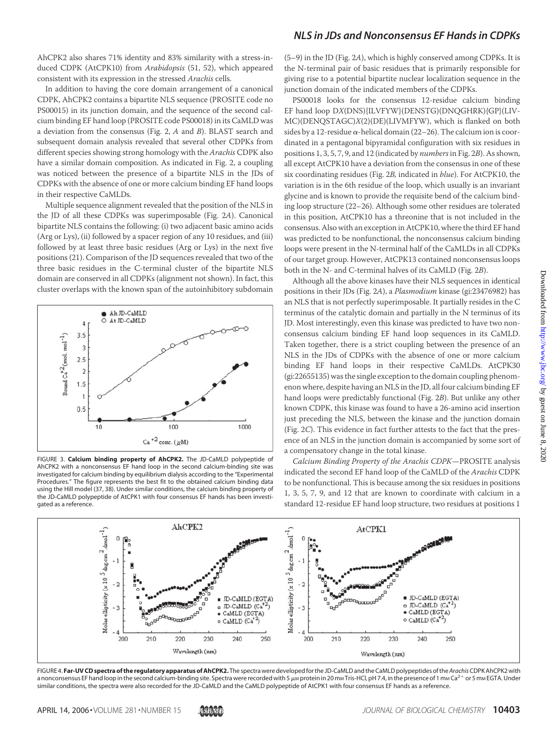AhCPK2 also shares 71% identity and 83% similarity with a stress-induced CDPK (AtCPK10) from *Arabidopsis* (51, 52), which appeared consistent with its expression in the stressed *Arachis* cells.

In addition to having the core domain arrangement of a canonical CDPK, AhCPK2 contains a bipartite NLS sequence (PROSITE code no PS00015) in its junction domain, and the sequence of the second calcium binding EF hand loop (PROSITE code PS00018) in its CaMLD was a deviation from the consensus (Fig. 2, *A* and *B*). BLAST search and subsequent domain analysis revealed that several other CDPKs from different species showing strong homology with the *Arachis* CDPK also have a similar domain composition. As indicated in Fig. 2, a coupling was noticed between the presence of a bipartite NLS in the JDs of CDPKs with the absence of one or more calcium binding EF hand loops in their respective CaMLDs.

Multiple sequence alignment revealed that the position of the NLS in the JD of all these CDPKs was superimposable (Fig. 2*A*). Canonical bipartite NLS contains the following: (i) two adjacent basic amino acids (Arg or Lys), (ii) followed by a spacer region of any 10 residues, and (iii) followed by at least three basic residues (Arg or Lys) in the next five positions (21). Comparison of the JD sequences revealed that two of the three basic residues in the C-terminal cluster of the bipartite NLS domain are conserved in all CDPKs (alignment not shown). In fact, this cluster overlaps with the known span of the autoinhibitory subdomain



FIGURE 3. **Calcium binding property of AhCPK2.** The JD-CaMLD polypeptide of AhCPK2 with a nonconsensus EF hand loop in the second calcium-binding site was investigated for calcium binding by equilibrium dialysis according to the "Experimental Procedures." The figure represents the best fit to the obtained calcium binding data using the Hill model (37, 38). Under similar conditions, the calcium binding property of the JD-CaMLD polypeptide of AtCPK1 with four consensus EF hands has been investigated as a reference.

(5–9) in the JD (Fig. 2*A*), which is highly conserved among CDPKs. It is the N-terminal pair of basic residues that is primarily responsible for giving rise to a potential bipartite nuclear localization sequence in the junction domain of the indicated members of the CDPKs.

PS00018 looks for the consensus 12-residue calcium binding EF hand loop D*X*(DNS){ILVFYW}(DENSTG)(DNQGHRK){GP}(LIV-MC)(DENQSTAGC)*X*(2)(DE)(LIVMFYW), which is flanked on both sides by a 12-residue  $\alpha$ -helical domain (22–26). The calcium ion is coordinated in a pentagonal bipyramidal configuration with six residues in positions 1, 3, 5, 7, 9, and 12 (indicated by *numbers*in Fig. 2*B*). As shown, all except AtCPK10 have a deviation from the consensus in one of these six coordinating residues (Fig. 2*B,* indicated in *blue*). For AtCPK10, the variation is in the 6th residue of the loop, which usually is an invariant glycine and is known to provide the requisite bend of the calcium binding loop structure (22–26). Although some other residues are tolerated in this position, AtCPK10 has a threonine that is not included in the consensus. Also with an exception in AtCPK10, where the third EF hand was predicted to be nonfunctional, the nonconsensus calcium binding loops were present in the N-terminal half of the CaMLDs in all CDPKs of our target group. However, AtCPK13 contained nonconsensus loops both in the N- and C-terminal halves of its CaMLD (Fig. 2*B*).

Although all the above kinases have their NLS sequences in identical positions in their JDs (Fig. 2*A*), a *Plasmodium* kinase (gi:23476982) has an NLS that is not perfectly superimposable. It partially resides in the C terminus of the catalytic domain and partially in the N terminus of its JD. Most interestingly, even this kinase was predicted to have two nonconsensus calcium binding EF hand loop sequences in its CaMLD. Taken together, there is a strict coupling between the presence of an NLS in the JDs of CDPKs with the absence of one or more calcium binding EF hand loops in their respective CaMLDs. AtCPK30 (gi:22655135) was the single exception to the domain coupling phenomenon where, despite having an NLS in the JD, all four calcium binding EF hand loops were predictably functional (Fig. 2*B*). But unlike any other known CDPK, this kinase was found to have a 26-amino acid insertion just preceding the NLS, between the kinase and the junction domain (Fig. 2*C*). This evidence in fact further attests to the fact that the presence of an NLS in the junction domain is accompanied by some sort of a compensatory change in the total kinase.

*Calcium Binding Property of the Arachis CDPK*—PROSITE analysis indicated the second EF hand loop of the CaMLD of the *Arachis* CDPK to be nonfunctional. This is because among the six residues in positions 1, 3, 5, 7, 9, and 12 that are known to coordinate with calcium in a standard 12-residue EF hand loop structure, two residues at positions 1



FIGURE 4. **Far-UV CD spectra of the regulatory apparatus of AhCPK2.** The spectra were developedfor the JD-CaMLD and the CaMLD polypeptides of the*Arachis*CDPK AhCPK2 with a nonconsensus EF hand loop in the second calcium-binding site. Spectra were recorded with 5  $\mu$ м protein in 20 mm Tris-HCl, pH 7.4, in the presence of 1 mm Ca<sup>2+</sup> or 5 mm EGTA. Under similar conditions, the spectra were also recorded for the JD-CaMLD and the CaMLD polypeptide of AtCPK1 with four consensus EF hands as a reference.

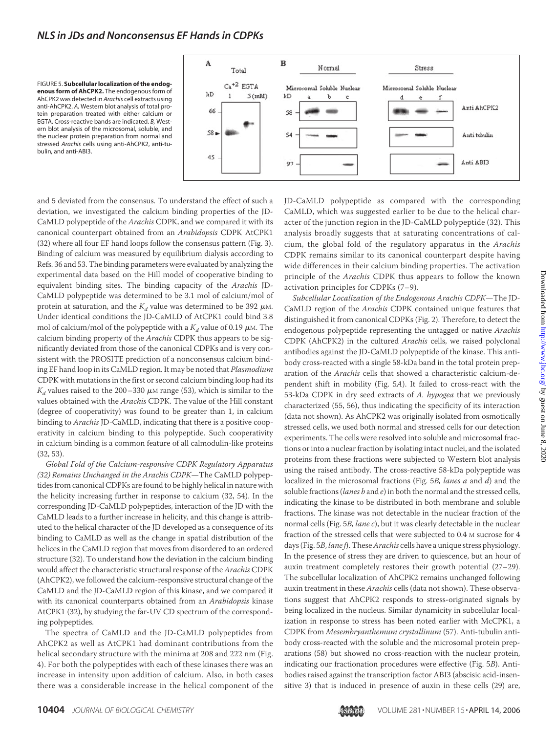



and 5 deviated from the consensus. To understand the effect of such a deviation, we investigated the calcium binding properties of the JD-CaMLD polypeptide of the *Arachis* CDPK, and we compared it with its canonical counterpart obtained from an *Arabidopsis* CDPK AtCPK1 (32) where all four EF hand loops follow the consensus pattern (Fig. 3). Binding of calcium was measured by equilibrium dialysis according to Refs. 36 and 53. The binding parameters were evaluated by analyzing the experimental data based on the Hill model of cooperative binding to equivalent binding sites. The binding capacity of the *Arachis* JD-CaMLD polypeptide was determined to be 3.1 mol of calcium/mol of protein at saturation, and the  $K_d$  value was determined to be 392  $\mu$ m. Under identical conditions the JD-CaMLD of AtCPK1 could bind 3.8 mol of calcium/mol of the polypeptide with a  $K_d$  value of 0.19  $\mu$ m. The calcium binding property of the *Arachis* CDPK thus appears to be significantly deviated from those of the canonical CDPKs and is very consistent with the PROSITE prediction of a nonconsensus calcium binding EF hand loop in its CaMLD region. It may be noted that *Plasmodium* CDPK with mutations in the first or second calcium binding loop had its  $K_d$  values raised to the 200–330  $\mu$ M range (53), which is similar to the values obtained with the *Arachis* CDPK. The value of the Hill constant (degree of cooperativity) was found to be greater than 1, in calcium binding to *Arachis* JD-CaMLD, indicating that there is a positive cooperativity in calcium binding to this polypeptide. Such cooperativity in calcium binding is a common feature of all calmodulin-like proteins (32, 53).

*Global Fold of the Calcium-responsive CDPK Regulatory Apparatus (32) Remains Unchanged in the Arachis CDPK*—The CaMLD polypeptides from canonical CDPKs are found to be highly helical in nature with the helicity increasing further in response to calcium (32, 54). In the corresponding JD-CaMLD polypeptides, interaction of the JD with the CaMLD leads to a further increase in helicity, and this change is attributed to the helical character of the JD developed as a consequence of its binding to CaMLD as well as the change in spatial distribution of the helices in the CaMLD region that moves from disordered to an ordered structure (32). To understand how the deviation in the calcium binding would affect the characteristic structural response of the *Arachis* CDPK (AhCPK2), we followed the calcium-responsive structural change of the CaMLD and the JD-CaMLD region of this kinase, and we compared it with its canonical counterparts obtained from an *Arabidopsis* kinase AtCPK1 (32), by studying the far-UV CD spectrum of the corresponding polypeptides.

The spectra of CaMLD and the JD-CaMLD polypeptides from AhCPK2 as well as AtCPK1 had dominant contributions from the helical secondary structure with the minima at 208 and 222 nm (Fig. 4). For both the polypeptides with each of these kinases there was an increase in intensity upon addition of calcium. Also, in both cases there was a considerable increase in the helical component of the JD-CaMLD polypeptide as compared with the corresponding CaMLD, which was suggested earlier to be due to the helical character of the junction region in the JD-CaMLD polypeptide (32). This analysis broadly suggests that at saturating concentrations of calcium, the global fold of the regulatory apparatus in the *Arachis* CDPK remains similar to its canonical counterpart despite having wide differences in their calcium binding properties. The activation principle of the *Arachis* CDPK thus appears to follow the known activation principles for CDPKs (7–9).

*Subcellular Localization of the Endogenous Arachis CDPK*—The JD-CaMLD region of the *Arachis* CDPK contained unique features that distinguished it from canonical CDPKs (Fig. 2). Therefore, to detect the endogenous polypeptide representing the untagged or native *Arachis* CDPK (AhCPK2) in the cultured *Arachis* cells, we raised polyclonal antibodies against the JD-CaMLD polypeptide of the kinase. This antibody cross-reacted with a single 58-kDa band in the total protein preparation of the *Arachis* cells that showed a characteristic calcium-dependent shift in mobility (Fig. 5*A*). It failed to cross-react with the 53-kDa CDPK in dry seed extracts of *A. hypogea* that we previously characterized (55, 56), thus indicating the specificity of its interaction (data not shown). As AhCPK2 was originally isolated from osmotically stressed cells, we used both normal and stressed cells for our detection experiments. The cells were resolved into soluble and microsomal fractions or into a nuclear fraction by isolating intact nuclei, and the isolated proteins from these fractions were subjected to Western blot analysis using the raised antibody. The cross-reactive 58-kDa polypeptide was localized in the microsomal fractions (Fig. 5*B, lanes a* and *d*) and the soluble fractions (*lanes b* and *e*) in both the normal and the stressed cells, indicating the kinase to be distributed in both membrane and soluble fractions. The kinase was not detectable in the nuclear fraction of the normal cells (Fig. 5*B, lane c*), but it was clearly detectable in the nuclear fraction of the stressed cells that were subjected to 0.4 M sucrose for 4 days (Fig. 5*B*, *lane f*). These*Arachis* cells have a unique stress physiology. In the presence of stress they are driven to quiescence, but an hour of auxin treatment completely restores their growth potential (27–29). The subcellular localization of AhCPK2 remains unchanged following auxin treatment in these *Arachis* cells (data not shown). These observations suggest that AhCPK2 responds to stress-originated signals by being localized in the nucleus. Similar dynamicity in subcellular localization in response to stress has been noted earlier with McCPK1, a CDPK from *Mesembryanthemum crystallinum* (57). Anti-tubulin antibody cross-reacted with the soluble and the microsomal protein preparations (58) but showed no cross-reaction with the nuclear protein, indicating our fractionation procedures were effective (Fig. 5*B*). Antibodies raised against the transcription factor ABI3 (abscisic acid-insensitive 3) that is induced in presence of auxin in these cells (29) are,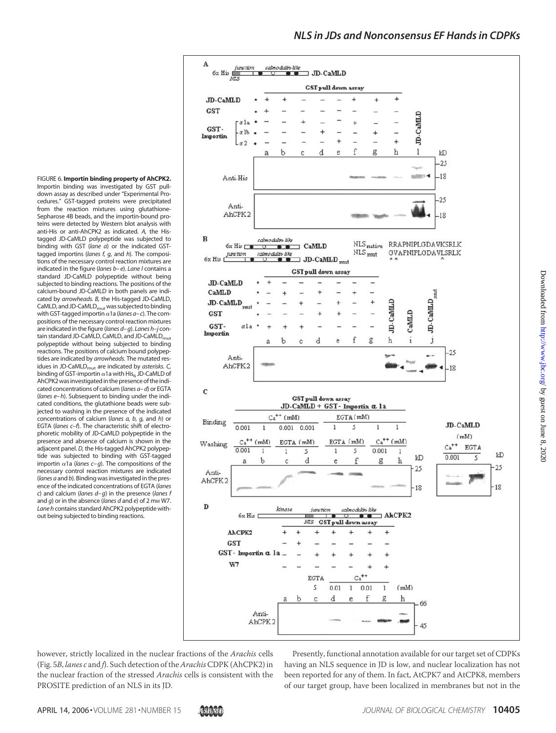

down assay as described under "Experimental Procedures." GST-tagged proteins were precipitated from the reaction mixtures using glutathione-Sepharose 4B beads, and the importin-bound proteins were detected by Western blot analysis with anti-His or anti-AhCPK2 as indicated. *A,* the Histagged JD-CaMLD polypeptide was subjected to binding with GST (*lane a*) or the indicated GSTtagged importins (*lanes f, g,* and *h*). The compositions of the necessary control reaction mixtures are indicated in the figure (*lanes b–e*). *Lane l* contains a standard JD-CaMLD polypeptide without being subjected to binding reactions. The positions of the calcium-bound JD-CaMLD in both panels are indicated by *arrowheads. B,* the His-tagged JD-CaMLD, CaMLD, and JD-CaMLD<sub>mut</sub> was subjected to binding with GST-tagged importin  $\alpha$ 1a (*lanes a–c*). The compositions of the necessary control reaction mixtures are indicated in thefigure (*lanes d–g*). *Lanes h–j* contain standard JD-CaMLD, CaMLD, and JD-CaMLD<sub>mut</sub> polypeptide without being subjected to binding reactions. The positions of calcium bound polypeptides are indicated by *arrowheads.* The mutated residues in JD-CaMLD<sub>mut</sub> are indicated by *asterisks*. C, binding of GST-importin  $\alpha$ 1a with His<sub>6</sub> JD-CaMLD of AhCPK2 was investigated in the presence of the indicated concentrations of calcium (*lanes a–d*) or EGTA (*lanes e–h*). Subsequent to binding under the indicated conditions, the glutathione beads were subjected to washing in the presence of the indicated concentrations of calcium (*lanes a, b, g,* and *h*) or EGTA (*lanes c–f*). The characteristic shift of electrophoretic mobility of JD-CaMLD polypeptide in the presence and absence of calcium is shown in the adjacent panel. *D,* the His-tagged AhCPK2 polypeptide was subjected to binding with GST-tagged importin  $\alpha$ 1a (*lanes c–g*). The compositions of the necessary control reaction mixtures are indicated (*lanes a* and *b*). Binding was investigated in the presence of the indicated concentrations of EGTA (*lanes c*) and calcium (*lanes d–g*) in the presence (*lanes f* and *g*) or in the absence (*lanes d* and *e*) of 2 mm W7. *Lane h* contains standard AhCPK2 polypeptide without being subjected to binding reactions.

FIGURE 6. **Importin binding property of AhCPK2.** Importin binding was investigated by GST pull-

however, strictly localized in the nuclear fractions of the *Arachis* cells (Fig. 5*B*, *lanes c* and *f*). Such detection of the*Arachis*CDPK (AhCPK2) in the nuclear fraction of the stressed *Arachis* cells is consistent with the PROSITE prediction of an NLS in its JD.

Presently, functional annotation available for our target set of CDPKs having an NLS sequence in JD is low, and nuclear localization has not been reported for any of them. In fact, AtCPK7 and AtCPK8, members of our target group, have been localized in membranes but not in the

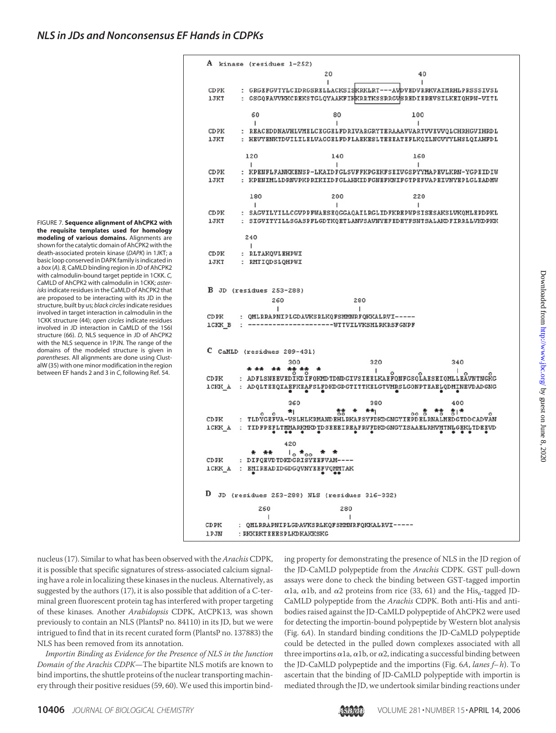FIGURE 7. **Sequence alignment of AhCPK2 with the requisite templates used for homology modeling of various domains.** Alignments are shown for the catalytic domain of AhCPK2 with the death-associated protein kinase (*DAPK*) in 1JKT; a basic loop conserved in DAPK family is indicated in a *box* (*A*)*. B,* CaMLD binding region in JD of AhCPK2 with calmodulin-bound target peptide in 1CKK. *C,* CaMLD of AhCPK2 with calmodulin in 1CKK; *asterisks*indicate residues in the CaMLD of AhCPK2 that are proposed to be interacting with its JD in the structure, built by us; *black circles*indicate residues involved in target interaction in calmodulin in the 1CKK structure (44); *open circles* indicate residues involved in JD interaction in CaMLD of the 1S6I structure (66). *D,* NLS sequence in JD of AhCPK2 with the NLS sequence in 1PJN. The range of the domains of the modeled structure is given in *parentheses*. All alignments are done using ClustalW (35) with one minor modification in the region between EF hands 2 and 3 in *C*, following Ref. 54.

|               | A kinase (residues 1-252)                    |                                          |                                                                 |
|---------------|----------------------------------------------|------------------------------------------|-----------------------------------------------------------------|
|               |                                              | 20                                       | 40                                                              |
|               |                                              | ı                                        | ı                                                               |
| CDPK          |                                              |                                          | : GRGEFGVTYLCIDRGSRELLACKSISKRKLRT---AVDVEDVRRKVAIMRHLPRSSSIVSL |
| <b>1JKT</b>   |                                              |                                          | : GSGQFAVVKKCREKSTGLQYAAKFIKKRRTKSSRRGVSREDIEREVSILKEIQHPN-VITL |
|               |                                              |                                          |                                                                 |
|               | 60                                           | 80                                       | 100                                                             |
|               | 1                                            | 1                                        | 1                                                               |
| CDPK          |                                              |                                          | : REACEDDNAVHLVMELCEGGELFDRIVARGRYTERAAAVVARTVVEVVQLCHRHGVIHRDL |
| <b>1JKT</b>   |                                              |                                          | : HEVYENKTDVILILELVAGGELFDFLAEKESLTEEEATEFLKQILNGVYYLHSLQIAHFDL |
|               |                                              |                                          |                                                                 |
|               | 120                                          | 140                                      | 160                                                             |
|               | L                                            | ı                                        | ı                                                               |
| CDPK          |                                              |                                          | : KPENFLFANKKENSP-LKAIDFGLSVFFKPGEKFSEIVGSPYYMAPEVLKRN-YGPEIDIW |
| <b>1JKT</b>   |                                              |                                          | : KPENIMLLDRNVPKPRIKIIDFGLAHKIDFGNEFKNIFGTPEFVAPEIVNYEPLGLEADMW |
|               |                                              |                                          |                                                                 |
|               | 180                                          | 200                                      | 220                                                             |
|               | Τ.                                           | ı                                        | Ł                                                               |
| CDPK          |                                              |                                          | : SAGVILYILLCGVPPFWAESEQGGAQAILRGLIDFKREPWPSISESAKSLVKQMLEPDPKL |
| 1 JKT         |                                              |                                          | : SIGVITYILLSGASPFLGDTKOETLANVSAVNYEFEDEYFSNTSALAKDFIRRLLVKDPKK |
|               |                                              |                                          |                                                                 |
|               | 240                                          |                                          |                                                                 |
|               | ı                                            |                                          |                                                                 |
| CDPK          | : RLTAKQVLEHPWI                              |                                          |                                                                 |
| <b>1JKT</b>   | : RMTIQDSLQHPWI                              |                                          |                                                                 |
|               |                                              |                                          |                                                                 |
| ICKK B        |                                              | --------------------WTTVILVKSMLRKRSFGNPF |                                                                 |
|               |                                              |                                          |                                                                 |
| с             | CaMLD (residues 289-431)                     |                                          |                                                                 |
|               | 300                                          | 320                                      | 340                                                             |
|               | ** ** **                                     | п                                        | U.<br>o                                                         |
| CDPK          |                                              |                                          | : ADFLSNEEVEDIKDIFQKMDTDNDGIVSIEELKAEFQNFGSQLAESEIQMLLEÄVNTNGKG |
| ICKK A        |                                              |                                          | : ADQLTEEQIAEFKEAFSLFDKDGDGTITTKELGTVMRSLGONPTEAELQDMINEVDADGNG |
|               |                                              |                                          |                                                                 |
|               | 360                                          | 380                                      | 400                                                             |
|               | *1<br>$\circ$<br>٥                           | 총총 초<br>未未                               | oo 총 *총 총l*<br>٥                                                |
| CDPK          |                                              |                                          | : TLDYGEFVA-VSLHLKRMANDEHLRKAFSYFDKDGNGYIEPDELRNALMEDGTDDCADVAN |
| <b>ICKK A</b> | $\bullet\bullet$                             |                                          | : TIDFPEFLTMMARKMKDTDSEEEIREAFRVFDKDGNGYISAAELRHVMTNLGEKLTDEEVD |
|               |                                              |                                          |                                                                 |
|               | 420                                          |                                          |                                                                 |
|               | $\frac{1}{0}$ $\star$ 00<br>* **             |                                          |                                                                 |
|               | CDPK : DIFQEVDTDKDGRISYEEFVAM----            |                                          |                                                                 |
|               | ICKK A : EMIREADIDGDGQVNYEEFVQMMTAK          |                                          |                                                                 |
|               |                                              |                                          |                                                                 |
|               |                                              |                                          |                                                                 |
| D             | JD (residues 253-288) NLS (residues 316-332) |                                          |                                                                 |
|               |                                              |                                          |                                                                 |
|               | 260                                          | 280                                      |                                                                 |
|               |                                              |                                          |                                                                 |
| CDPK          | : QMLRRAPNIPLGDAVKSRLKQFSMMNRFQKKALRVI-----  |                                          |                                                                 |
| <b>1PJN</b>   | : RKKRKTEEESPLKDKAKKSKG                      |                                          |                                                                 |
|               |                                              |                                          |                                                                 |

nucleus (17). Similar to what has been observed with the *Arachis* CDPK, it is possible that specific signatures of stress-associated calcium signaling have a role in localizing these kinases in the nucleus. Alternatively, as suggested by the authors (17), it is also possible that addition of a C-terminal green fluorescent protein tag has interfered with proper targeting of these kinases. Another *Arabidopsis* CDPK, AtCPK13, was shown previously to contain an NLS (PlantsP no. 84110) in its JD, but we were intrigued to find that in its recent curated form (PlantsP no. 137883) the NLS has been removed from its annotation.

*Importin Binding as Evidence for the Presence of NLS in the Junction Domain of the Arachis CDPK*—The bipartite NLS motifs are known to bind importins, the shuttle proteins of the nuclear transporting machinery through their positive residues (59, 60). We used this importin binding property for demonstrating the presence of NLS in the JD region of the JD-CaMLD polypeptide from the *Arachis* CDPK. GST pull-down assays were done to check the binding between GST-tagged importin  $\alpha$ 1a,  $\alpha$ 1b, and  $\alpha$ 2 proteins from rice (33, 61) and the His<sub>6</sub>-tagged JD-CaMLD polypeptide from the *Arachis* CDPK. Both anti-His and antibodies raised against the JD-CaMLD polypeptide of AhCPK2 were used for detecting the importin-bound polypeptide by Western blot analysis (Fig. 6*A*). In standard binding conditions the JD-CaMLD polypeptide could be detected in the pulled down complexes associated with all three importins  $\alpha$ 1a,  $\alpha$ 1b, or  $\alpha$ 2, indicating a successful binding between the JD-CaMLD polypeptide and the importins (Fig. 6*A*, *lanes f– h*). To ascertain that the binding of JD-CaMLD polypeptide with importin is mediated through the JD, we undertook similar binding reactions under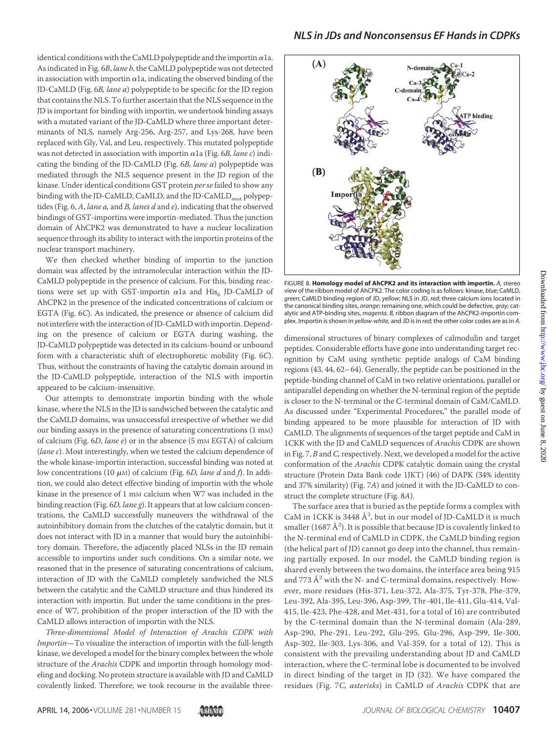identical conditions with the CaMLD polypeptide and the importin  $\alpha$ 1a. As indicated in Fig. 6*B*, *lane b*, the CaMLD polypeptide was not detected in association with importin  $\alpha$ 1a, indicating the observed binding of the JD-CaMLD (Fig. 6*B, lane a*) polypeptide to be specific for the JD region that contains the NLS. To further ascertain that the NLS sequence in the JD is important for binding with importin, we undertook binding assays with a mutated variant of the JD-CaMLD where three important determinants of NLS, namely Arg-256, Arg-257, and Lys-268, have been replaced with Gly, Val, and Leu, respectively. This mutated polypeptide was not detected in association with importin  $\alpha$ 1a (Fig. 6*B, lane c*) indicating the binding of the JD-CaMLD (Fig. 6*B, lane a*) polypeptide was mediated through the NLS sequence present in the JD region of the kinase. Under identical conditions GST protein *per se* failed to show any binding with the JD-CaMLD, CaMLD, and the JD-CaMLD<sub>mut</sub> polypeptides (Fig. 6, *A*, *lane a,* and *B, lanes d* and *e*), indicating that the observed bindings of GST-importins were importin-mediated. Thus the junction domain of AhCPK2 was demonstrated to have a nuclear localization sequence through its ability to interact with the importin proteins of the nuclear transport machinery.

We then checked whether binding of importin to the junction domain was affected by the intramolecular interaction within the JD-CaMLD polypeptide in the presence of calcium. For this, binding reactions were set up with GST-importin  $\alpha$ la and His<sub>6</sub> JD-CaMLD of AhCPK2 in the presence of the indicated concentrations of calcium or EGTA (Fig. 6*C*). As indicated, the presence or absence of calcium did not interfere with the interaction of JD-CaMLD with importin. Depending on the presence of calcium or EGTA during washing, the JD-CaMLD polypeptide was detected in its calcium-bound or unbound form with a characteristic shift of electrophoretic mobility (Fig. 6*C*). Thus, without the constraints of having the catalytic domain around in the JD-CaMLD polypeptide, interaction of the NLS with importin appeared to be calcium-insensitive.

Our attempts to demonstrate importin binding with the whole kinase, where the NLS in the JD is sandwiched between the catalytic and the CaMLD domains, was unsuccessful irrespective of whether we did our binding assays in the presence of saturating concentrations (1 mM) of calcium (Fig. 6*D*, *lane e*) or in the absence (5 mM EGTA) of calcium (*lane c*). Most interestingly, when we tested the calcium dependence of the whole kinase-importin interaction, successful binding was noted at low concentrations (10 μM) of calcium (Fig. 6*D, lane d* and *f*). In addition, we could also detect effective binding of importin with the whole kinase in the presence of 1 mm calcium when W7 was included in the binding reaction (Fig. 6*D, lane g*). It appears that at low calcium concentrations, the CaMLD successfully maneuvers the withdrawal of the autoinhibitory domain from the clutches of the catalytic domain, but it does not interact with JD in a manner that would bury the autoinhibitory domain. Therefore, the adjacently placed NLSs in the JD remain accessible to importins under such conditions. On a similar note, we reasoned that in the presence of saturating concentrations of calcium, interaction of JD with the CaMLD completely sandwiched the NLS between the catalytic and the CaMLD structure and thus hindered its interaction with importin. But under the same conditions in the presence of W7, prohibition of the proper interaction of the JD with the CaMLD allows interaction of importin with the NLS.

*Three-dimensional Model of Interaction of Arachis CDPK with Importin*—To visualize the interaction of importin with the full-length kinase, we developed a model for the binary complex between the whole structure of the *Arachis* CDPK and importin through homology modeling and docking. No protein structure is available with JD and CaMLD covalently linked. Therefore, we took recourse in the available three-



FIGURE 8. **Homology model of AhCPK2 and its interaction with importin.** *A,* stereo view of the ribbon model of AhCPK2. The color coding is as follows: kinase, *blue*; CaMLD, *green*; CaMLD binding region of JD, *yellow*; NLS in JD, *red*; three calcium ions located in the canonical binding sites, *orange*; remaining one, which could be defective, *gray*; catalytic and ATP-binding sites, *magenta. B,* ribbon diagram of the AhCPK2-importin complex. Importin is shown in *yellow-white,* and JD is in *red*; the other color codes are as in *A*.

dimensional structures of binary complexes of calmodulin and target peptides. Considerable efforts have gone into understanding target recognition by CaM using synthetic peptide analogs of CaM binding regions (43, 44, 62–64). Generally, the peptide can be positioned in the peptide-binding channel of CaM in two relative orientations, parallel or antiparallel depending on whether the N-terminal region of the peptide is closer to the N-terminal or the C-terminal domain of CaM/CaMLD. As discussed under "Experimental Procedures," the parallel mode of binding appeared to be more plausible for interaction of JD with CaMLD. The alignments of sequences of the target peptide and CaM in 1CKK with the JD and CaMLD sequences of *Arachis* CDPK are shown in Fig. 7, *B* and *C,*respectively. Next, we developed a model for the active conformation of the *Arachis* CDPK catalytic domain using the crystal structure (Protein Data Bank code 1JKT) (46) of DAPK (34% identity and 37% similarity) (Fig. 7*A*) and joined it with the JD-CaMLD to construct the complete structure (Fig. 8*A*).

The surface area that is buried as the peptide forms a complex with CaM in 1CKK is 3448  $\AA^2$ , but in our model of JD-CaMLD it is much smaller (1687  $\rm \AA^2$ ). It is possible that because JD is covalently linked to the N-terminal end of CaMLD in CDPK, the CaMLD binding region (the helical part of JD) cannot go deep into the channel, thus remaining partially exposed. In our model, the CaMLD binding region is shared evenly between the two domains, the interface area being 915 and 773  $\AA^2$  with the N- and C-terminal domains, respectively. However, more residues (His-371, Leu-372, Ala-375, Tyr-378, Phe-379, Leu-392, Ala-395, Leu-396, Asp-399, Thr-401, Ile-411, Glu-414, Val-415, Ile-423, Phe-428, and Met-431, for a total of 16) are contributed by the C-terminal domain than the N-terminal domain (Ala-289, Asp-290, Phe-291, Leu-292, Glu-295, Glu-296, Asp-299, Ile-300, Asp-302, Ile-303, Lys-306, and Val-359, for a total of 12). This is consistent with the prevailing understanding about JD and CaMLD interaction, where the C-terminal lobe is documented to be involved in direct binding of the target in JD (32). We have compared the residues (Fig. 7*C, asterisks*) in CaMLD of *Arachis* CDPK that are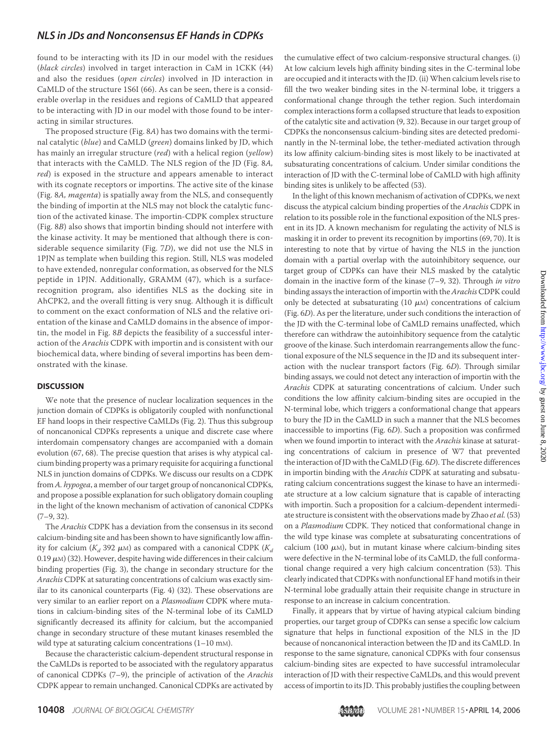found to be interacting with its JD in our model with the residues (*black circles*) involved in target interaction in CaM in 1CKK (44) and also the residues (*open circles*) involved in JD interaction in CaMLD of the structure 1S6I (66). As can be seen, there is a considerable overlap in the residues and regions of CaMLD that appeared to be interacting with JD in our model with those found to be interacting in similar structures.

The proposed structure (Fig. 8*A*) has two domains with the terminal catalytic (*blue*) and CaMLD (*green*) domains linked by JD, which has mainly an irregular structure (*red*) with a helical region (*yellow*) that interacts with the CaMLD. The NLS region of the JD (Fig. 8*A, red*) is exposed in the structure and appears amenable to interact with its cognate receptors or importins. The active site of the kinase (Fig. 8*A, magenta*) is spatially away from the NLS, and consequently the binding of importin at the NLS may not block the catalytic function of the activated kinase. The importin-CDPK complex structure (Fig. 8*B*) also shows that importin binding should not interfere with the kinase activity. It may be mentioned that although there is considerable sequence similarity (Fig. 7*D*), we did not use the NLS in 1PJN as template when building this region. Still, NLS was modeled to have extended, nonregular conformation, as observed for the NLS peptide in 1PJN. Additionally, GRAMM (47), which is a surfacerecognition program, also identifies NLS as the docking site in AhCPK2, and the overall fitting is very snug. Although it is difficult to comment on the exact conformation of NLS and the relative orientation of the kinase and CaMLD domains in the absence of importin, the model in Fig. 8*B* depicts the feasibility of a successful interaction of the *Arachis* CDPK with importin and is consistent with our biochemical data, where binding of several importins has been demonstrated with the kinase.

#### **DISCUSSION**

We note that the presence of nuclear localization sequences in the junction domain of CDPKs is obligatorily coupled with nonfunctional EF hand loops in their respective CaMLDs (Fig. 2). Thus this subgroup of noncanonical CDPKs represents a unique and discrete case where interdomain compensatory changes are accompanied with a domain evolution (67, 68). The precise question that arises is why atypical calcium binding property was a primary requisite for acquiring a functional NLS in junction domains of CDPKs. We discuss our results on a CDPK from *A. hypogea*, a member of our target group of noncanonical CDPKs, and propose a possible explanation for such obligatory domain coupling in the light of the known mechanism of activation of canonical CDPKs  $(7-9, 32)$ .

The *Arachis* CDPK has a deviation from the consensus in its second calcium-binding site and has been shown to have significantly low affinity for calcium ( $K_d$  392  $\mu$ м) as compared with a canonical CDPK ( $K_d$ 0.19  $\mu$ <sub>M</sub>) (32). However, despite having wide differences in their calcium binding properties (Fig. 3), the change in secondary structure for the *Arachis* CDPK at saturating concentrations of calcium was exactly similar to its canonical counterparts (Fig. 4) (32). These observations are very similar to an earlier report on a *Plasmodium* CDPK where mutations in calcium-binding sites of the N-terminal lobe of its CaMLD significantly decreased its affinity for calcium, but the accompanied change in secondary structure of these mutant kinases resembled the wild type at saturating calcium concentrations (1-10 mm).

Because the characteristic calcium-dependent structural response in the CaMLDs is reported to be associated with the regulatory apparatus of canonical CDPKs (7–9), the principle of activation of the *Arachis* CDPK appear to remain unchanged. Canonical CDPKs are activated by the cumulative effect of two calcium-responsive structural changes. (i) At low calcium levels high affinity binding sites in the C-terminal lobe are occupied and it interacts with the JD. (ii) When calcium levels rise to fill the two weaker binding sites in the N-terminal lobe, it triggers a conformational change through the tether region. Such interdomain complex interactions form a collapsed structure that leads to exposition of the catalytic site and activation (9, 32). Because in our target group of CDPKs the nonconsensus calcium-binding sites are detected predominantly in the N-terminal lobe, the tether-mediated activation through its low affinity calcium-binding sites is most likely to be inactivated at subsaturating concentrations of calcium. Under similar conditions the interaction of JD with the C-terminal lobe of CaMLD with high affinity binding sites is unlikely to be affected (53).

In the light of this known mechanism of activation of CDPKs, we next discuss the atypical calcium binding properties of the *Arachis* CDPK in relation to its possible role in the functional exposition of the NLS present in its JD. A known mechanism for regulating the activity of NLS is masking it in order to prevent its recognition by importins (69, 70). It is interesting to note that by virtue of having the NLS in the junction domain with a partial overlap with the autoinhibitory sequence, our target group of CDPKs can have their NLS masked by the catalytic domain in the inactive form of the kinase (7–9, 32). Through *in vitro* binding assays the interaction of importin with the *Arachis* CDPK could only be detected at subsaturating (10  $\mu$ M) concentrations of calcium (Fig. 6*D*). As per the literature, under such conditions the interaction of the JD with the C-terminal lobe of CaMLD remains unaffected, which therefore can withdraw the autoinhibitory sequence from the catalytic groove of the kinase. Such interdomain rearrangements allow the functional exposure of the NLS sequence in the JD and its subsequent interaction with the nuclear transport factors (Fig. 6*D*). Through similar binding assays, we could not detect any interaction of importin with the *Arachis* CDPK at saturating concentrations of calcium. Under such conditions the low affinity calcium-binding sites are occupied in the N-terminal lobe, which triggers a conformational change that appears to bury the JD in the CaMLD in such a manner that the NLS becomes inaccessible to importins (Fig. 6*D*). Such a proposition was confirmed when we found importin to interact with the *Arachis* kinase at saturating concentrations of calcium in presence of W7 that prevented the interaction of JD with the CaMLD (Fig. 6*D*). The discrete differences in importin binding with the *Arachis* CDPK at saturating and subsaturating calcium concentrations suggest the kinase to have an intermediate structure at a low calcium signature that is capable of interacting with importin. Such a proposition for a calcium-dependent intermediate structure is consistent with the observations made by Zhao *et al.* (53) on a *Plasmodium* CDPK. They noticed that conformational change in the wild type kinase was complete at subsaturating concentrations of calcium (100  $\mu$ m), but in mutant kinase where calcium-binding sites were defective in the N-terminal lobe of its CaMLD, the full conformational change required a very high calcium concentration (53). This clearly indicated that CDPKs with nonfunctional EF hand motifs in their N-terminal lobe gradually attain their requisite change in structure in response to an increase in calcium concentration.

Finally, it appears that by virtue of having atypical calcium binding properties, our target group of CDPKs can sense a specific low calcium signature that helps in functional exposition of the NLS in the JD because of noncanonical interaction between the JD and its CaMLD. In response to the same signature, canonical CDPKs with four consensus calcium-binding sites are expected to have successful intramolecular interaction of JD with their respective CaMLDs, and this would prevent access of importin to its JD. This probably justifies the coupling between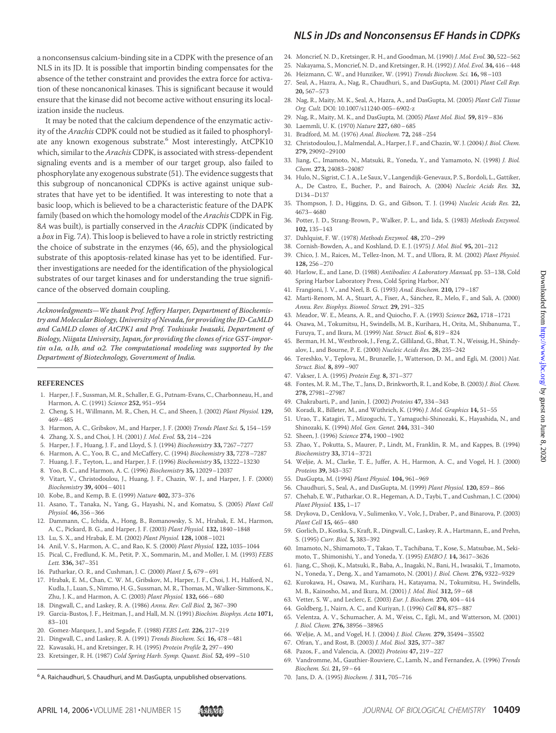a nonconsensus calcium-binding site in a CDPK with the presence of an NLS in its JD. It is possible that importin binding compensates for the absence of the tether constraint and provides the extra force for activation of these noncanonical kinases. This is significant because it would ensure that the kinase did not become active without ensuring its localization inside the nucleus.

It may be noted that the calcium dependence of the enzymatic activity of the *Arachis* CDPK could not be studied as it failed to phosphorylate any known exogenous substrate.<sup>6</sup> Most interestingly, AtCPK10 which, similar to the*Arachis*CDPK, is associated with stress-dependent signaling events and is a member of our target group, also failed to phosphorylate any exogenous substrate (51). The evidence suggests that this subgroup of noncanonical CDPKs is active against unique substrates that have yet to be identified. It was interesting to note that a basic loop, which is believed to be a characteristic feature of the DAPK family (based on which the homology model of the*Arachis*CDPK in Fig. 8*A* was built), is partially conserved in the *Arachis* CDPK (indicated by a *box* in Fig. 7*A*). This loop is believed to have a role in strictly restricting the choice of substrate in the enzymes (46, 65), and the physiological substrate of this apoptosis-related kinase has yet to be identified. Further investigations are needed for the identification of the physiological substrates of our target kinases and for understanding the true significance of the observed domain coupling.

*Acknowledgments—We thank Prof. Jeffery Harper, Department of Biochemistry and Molecular Biology, University of Nevada, for providing the JD-CaMLD and CaMLD clones of AtCPK1 and Prof. Toshisuke Iwasaki, Department of Biology, Niigata University, Japan, for providing the clones of rice GST-impor* $t$ *in*  $\alpha$ 1a,  $\alpha$ 1b, and  $\alpha$ 2. The computational modeling was supported by the *Department of Biotechnology, Government of India.*

#### **REFERENCES**

- 1. Harper, J. F., Sussman, M. R., Schaller, E. G., Putnam-Evans, C., Charbonneau, H., and Harmon, A. C. (1991) *Science* **252,** 951–954
- 2. Cheng, S. H., Willmann, M. R., Chen, H. C., and Sheen, J. (2002) *Plant Physiol.* **129,** 469–485
- 3. Harmon, A. C., Gribskov, M., and Harper, J. F. (2000) *Trends Plant Sci.* **5,** 154–159
- 4. Zhang, X. S., and Choi, J. H. (2001) *J. Mol. Evol.* **53,** 214–224
- 5. Harper, J. F., Huang, J. F., and Lloyd, S. J. (1994) *Biochemistry* **33,** 7267–7277
- 6. Harmon, A. C., Yoo, B. C., and McCaffery, C. (1994) *Biochemistry* **33,** 7278–7287
- 7. Huang, J. F., Teyton, L., and Harper, J. F. (1996) *Biochemistry* **35,** 13222–13230
- 8. Yoo, B. C., and Harmon, A. C. (1996) *Biochemistry* **35,** 12029–12037
- 9. Vitart, V., Christodoulou, J., Huang, J. F., Chazin, W. J., and Harper, J. F. (2000) *Biochemistry* **39,** 4004–4011
- 10. Kobe, B., and Kemp, B. E. (1999) *Nature* **402,** 373–376
- 11. Asano, T., Tanaka, N., Yang, G., Hayashi, N., and Komatsu, S. (2005) *Plant Cell Physiol.* **46,** 356–366
- 12. Dammann, C., Ichida, A., Hong, B., Romanowsky, S. M., Hrabak, E. M., Harmon, A. C., Pickard, B. G., and Harper, J. F. (2003) *Plant Physiol.* **132,** 1840–1848
- 13. Lu, S. X., and Hrabak, E. M. (2002) *Plant Physiol.* **128,** 1008–1021
- 14. Anil, V. S., Harmon, A. C., and Rao, K. S. (2000) *Plant Physiol.* **122,** 1035–1044
- 15. Pical, C., Fredlund, K. M., Petit, P. X., Sommarin, M., and Moller, I. M. (1993) *FEBS Lett.* **336,** 347–351
- 16. Patharkar, O. R., and Cushman, J. C. (2000) *Plant J.* **5,** 679–691
- 17. Hrabak, E. M., Chan, C. W. M., Gribskov, M., Harper, J. F., Choi, J. H., Halford, N., Kudla, J., Luan, S., Nimmo, H. G., Sussman, M. R., Thomas, M., Walker-Simmons, K., Zhu, J. K., and Harmon, A. C. (2003) *Plant Physiol.* **132,** 666–680
- 18. Dingwall, C., and Laskey, R. A. (1986) *Annu. Rev. Cell Biol.* **2,** 367–390
- 19. Garcia-Bustos, J. F., Heitman, J., and Hall, M. N. (1991) *Biochim. Biophys. Acta* **1071,** 83–101
- 20. Gomez-Marquez, J., and Segade, F. (1988) *FEBS Lett.* **226,** 217–219
- 21. Dingwall, C., and Laskey, R. A. (1991) *Trends Biochem. Sci.* **16,** 478–481
- 22. Kawasaki, H., and Kretsinger, R. H. (1995) *Protein Profile* **2,** 297–490
- 23. Kretsinger, R. H. (1987) *Cold Spring Harb. Symp. Quant. Biol.* **52,** 499–510

<sup>6</sup> A. Raichaudhuri, S. Chaudhuri, and M. DasGupta, unpublished observations. 70. Jans, D. A. (1995) *Biochem. J.* 311, 705-716

- *NLS in JDs and Nonconsensus EF Hands in CDPKs*
- 24. Moncrief, N. D., Kretsinger, R. H., and Goodman, M. (1990) *J. Mol. Evol.* **30,** 522–562
- 25. Nakayama, S., Moncrief, N. D., and Kretsinger, R. H. (1992) *J. Mol. Evol.* **34,** 416–448
- 26. Heizmann, C. W., and Hunziker, W. (1991) *Trends Biochem. Sci.* **16,** 98–103
- 27. Seal, A., Hazra, A., Nag, R., Chaudhuri, S., and DasGupta, M. (2001) *Plant Cell Rep.* **20,** 567–573
- 28. Nag, R., Maity, M. K., Seal, A., Hazra, A., and DasGupta, M. (2005) *Plant Cell Tissue Org. Cult.* DOI: 10.1007/s11240-005–6902-z
- 29. Nag, R., Maity, M. K., and DasGupta, M. (2005) *Plant Mol. Biol.* **59,** 819–836
- 30. Laemmli, U. K. (1970) *Nature* **227,** 680–685
- 31. Bradford, M. M. (1976) *Anal. Biochem.* **72,** 248–254
- 32. Christodoulou, J., Malmendal, A., Harper, J. F., and Chazin, W. J. (2004) *J. Biol. Chem.* **279,** 29092–29100
- 33. Jiang, C., Imamoto, N., Matsuki, R., Yoneda, Y., and Yamamoto, N. (1998) *J. Biol. Chem.* **273,** 24083–24087
- 34. Hulo, N., Sigrist, C. J. A., Le Saux, V., Langendijk-Genevaux, P. S., Bordoli, L., Gattiker, A., De Castro, E., Bucher, P., and Bairoch, A. (2004) *Nucleic Acids Res.* **32,** D134–D137
- 35. Thompson, J. D., Higgins, D. G., and Gibson, T. J. (1994) *Nucleic Acids Res.* **22,** 4673–4680
- 36. Potter, J. D., Strang-Brown, P., Walker, P. L., and Iida, S. (1983) *Methods Enzymol.* **102,** 135–143
- 37. Dahlquist, F. W. (1978) *Methods Enzymol.* **48,** 270–299
- 38. Cornish-Bowden, A., and Koshland, D. E. J. (1975) *J. Mol. Biol.* **95,** 201–212
- 39. Chico, J. M., Raices, M., Tellez-Inon, M. T., and Ullora, R. M. (2002) *Plant Physiol.* **128,** 256–270
- 40. Harlow, E., and Lane, D. (1988) *Antibodies: A Laboratory Manual,* pp. 53–138, Cold Spring Harbor Laboratory Press, Cold Spring Harbor, NY
- 41. Frangioni, J. V., and Neel, B. G. (1993) *Anal. Biochem.* **210,** 179–187
- 42. Marti-Renom, M. A., Stuart, A., Fiser, A., Sánchez, R., Melo, F., and Sali, A. (2000) *Annu. Rev. Biophys. Biomol. Struct.* **29,** 291–325
- 43. Meador, W. E., Means, A. R., and Quiocho, F. A. (1993) *Science* **262,** 1718–1721
- 44. Osawa, M., Tokumitsu, H., Swindells, M. B., Kurihara, H., Orita, M., Shibanuma, T., Furuya, T., and Ikura, M. (1999) *Nat. Struct. Biol.* **6,** 819–824
- 45. Berman, H. M., Westbrook, J., Feng, Z., Gilliland, G., Bhat, T. N., Weissig, H., Shindyalov, I., and Bourne, P. E. (2000) *Nucleic Acids Res.* **28,** 235–242
- 46. Tereshko, V., Teplova, M., Brunzelle, J., Watterson, D. M., and Egli, M. (2001) *Nat. Struct. Biol.* **8,** 899–907
- 47. Vakser, I. A. (1995) *Protein Eng.* **8,** 371–377
- 48. Fontes, M. R. M., The, T., Jans, D., Brinkworth, R. I., and Kobe, B. (2003) *J. Biol. Chem.* **278,** 27981–27987
- 49. Chakrabarti, P., and Janin, J. (2002) *Proteins* **47,** 334–343
- 50. Koradi, R., Billeter, M., and Wüthrich, K. (1996) *J. Mol. Graphics* 14, 51-55
- 51. Urao, T., Katagiri, T., Mizoguchi, T., Yamaguchi-Shinozaki, K., Hayashida, N., and Shinozaki, K. (1994) *Mol. Gen. Genet.* **244,** 331–340
- 52. Sheen, J. (1996) *Science* **274,** 1900–1902
- 53. Zhao, Y., Pokutta, S., Maurer, P., Lindt, M., Franklin, R. M., and Kappes, B. (1994) *Biochemistry* **33,** 3714–3721
- 54. Weljie, A. M., Clarke, T. E., Juffer, A. H., Harmon, A. C., and Vogel, H. J. (2000) *Proteins* **39,** 343–357
- 55. DasGupta, M. (1994) *Plant Physiol.* **104,** 961–969
- 56. Chaudhuri, S., Seal, A., and DasGupta, M. (1999) *Plant Physiol.* **120,** 859–866
- 57. Chehab, E. W., Patharkar, O. R., Hegeman, A. D., Taybi, T., and Cushman, J. C. (2004) *Plant Physiol.* **135,** 1–17
- 58. Drykova, D., Cenklova, V., Sulimenko, V., Volc, J., Draber, P., and Binarova, P. (2003) *Plant Cell* **15,** 465–480
- 59. Gorlich, D., Kostka, S., Kraft, R., Dingwall, C., Laskey, R. A., Hartmann, E., and Prehn, S. (1995) *Curr. Biol.* **5,** 383–392
- 60. Imamoto, N., Shimamoto, T., Takao, T., Tachibana, T., Kose, S., Matsubae, M., Sekimoto, T., Shimonishi, Y., and Yoneda, Y. (1995) *EMBO J.* **14,** 3617–3626
- 61. Jiang, C., Shoji, K., Matsuki, R., Baba, A., Inagaki, N., Bani, H., Iwasakii, T., Imamoto, N., Yoneda, Y., Deng, X., and Yamamoto, N. (2001) *J. Biol. Chem.* **276,** 9322–9329
- 62. Kurokawa, H., Osawa, M., Kurihara, H., Katayama, N., Tokumitsu, H., Swindells, M. B., Kainosho, M., and Ikura, M. (2001) *J. Mol. Biol.* **312,** 59–68
- 63. Vetter, S. W., and Leclerc, E. (2003) *Eur. J. Biochem.* **270,** 404–414
- 64. Goldberg, J., Nairn, A. C., and Kuriyan, J. (1996) *Cell* **84,** 875–887
- 65. Velentza, A. V., Schumacher, A. M., Weiss, C., Egli, M., and Watterson, M. (2001) *J. Biol. Chem.* **276,** 38956–38965
- 66. Weljie, A. M., and Vogel, H. J. (2004) *J. Biol. Chem.* **279,** 35494–35502
- 67. Ofran, Y., and Rost, B. (2003) *J. Mol. Biol.* **325,** 377–387
- 68. Pazos, F., and Valencia, A. (2002) *Proteins* **47,** 219–227
- 69. Vandromme, M., Gauthier-Rouviere, C., Lamb, N., and Fernandez, A. (1996) *Trends Biochem. Sci.* **21,** 59–64
-